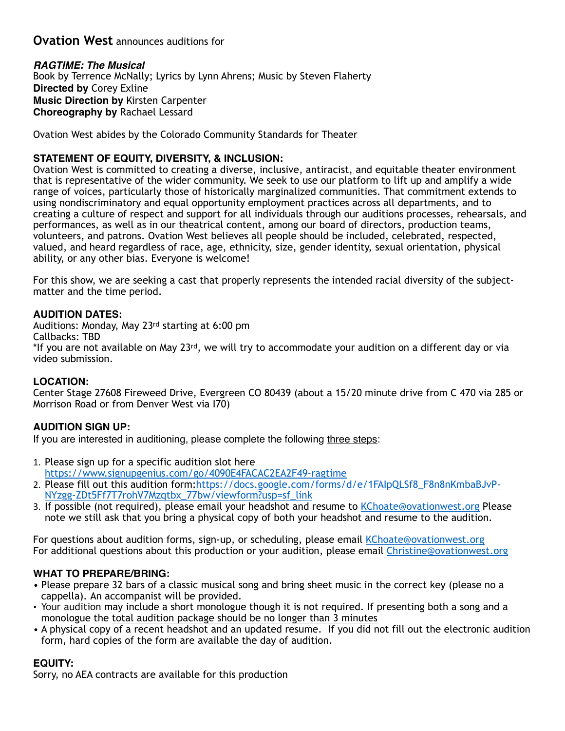# **Ovation West** announces auditions for

### *RAGTIME: The Musical*

Book by Terrence McNally; Lyrics by Lynn Ahrens; Music by Steven Flaherty **Directed by** Corey Exline **Music Direction by** Kirsten Carpenter **Choreography by** Rachael Lessard

Ovation West abides by the Colorado Community Standards for Theater

### **STATEMENT OF EQUITY, DIVERSITY, & INCLUSION:**

Ovation West is committed to creating a diverse, inclusive, antiracist, and equitable theater environment that is representative of the wider community. We seek to use our platform to lift up and amplify a wide range of voices, particularly those of historically marginalized communities. That commitment extends to using nondiscriminatory and equal opportunity employment practices across all departments, and to creating a culture of respect and support for all individuals through our auditions processes, rehearsals, and performances, as well as in our theatrical content, among our board of directors, production teams, volunteers, and patrons. Ovation West believes all people should be included, celebrated, respected, valued, and heard regardless of race, age, ethnicity, size, gender identity, sexual orientation, physical ability, or any other bias. Everyone is welcome!

For this show, we are seeking a cast that properly represents the intended racial diversity of the subjectmatter and the time period.

### **AUDITION DATES:**

Auditions: Monday, May 23rd starting at 6:00 pm Callbacks: TBD \*If you are not available on May 23rd, we will try to accommodate your audition on a different day or via video submission.

### **LOCATION:**

Center Stage 27608 Fireweed Drive, Evergreen CO 80439 (about a 15/20 minute drive from C 470 via 285 or Morrison Road or from Denver West via I70)

### **AUDITION SIGN UP:**

If you are interested in auditioning, please complete the following three steps:

- 1. Please sign up for a specific audition slot here <https://www.signupgenius.com/go/4090E4FACAC2EA2F49-ragtime>
- 2. [Please fill out this audition form:https://docs.google.com/forms/d/e/1FAIpQLSf8\\_F8n8nKmbaBJvP-](https://docs.google.com/forms/d/e/1FAIpQLSf8_F8n8nKmbaBJvP-NYzgg-ZDt5Ff7T7rohV7Mzqtbx_77bw/viewform?usp=sf_link)[NYzgg-ZDt5Ff7T7rohV7Mzqtbx\\_77bw/viewform?usp=sf\\_link](https://docs.google.com/forms/d/e/1FAIpQLSf8_F8n8nKmbaBJvP-NYzgg-ZDt5Ff7T7rohV7Mzqtbx_77bw/viewform?usp=sf_link)
- 3. If possible (not required), please email your headshot and resume to [KChoate@ovationwest.org](mailto:KChoate@ovationwest.org) Please note we still ask that you bring a physical copy of both your headshot and resume to the audition.

For questions about audition forms, sign-up, or scheduling, please email [KChoate@ovationwest.org](mailto:KChoate@ovationwest.org) For additional questions about this production or your audition, please email [Christine@ovationwest.org](mailto:Christine@ovationwest.org)

# **WHAT TO PREPARE/BRING:**

- Please prepare 32 bars of a classic musical song and bring sheet music in the correct key (please no a cappella). An accompanist will be provided.
- **•** Your audition may include a short monologue though it is not required. If presenting both a song and a monologue the total audition package should be no longer than 3 minutes
- A physical copy of a recent headshot and an updated resume. If you did not fill out the electronic audition form, hard copies of the form are available the day of audition.

# **EQUITY:**

Sorry, no AEA contracts are available for this production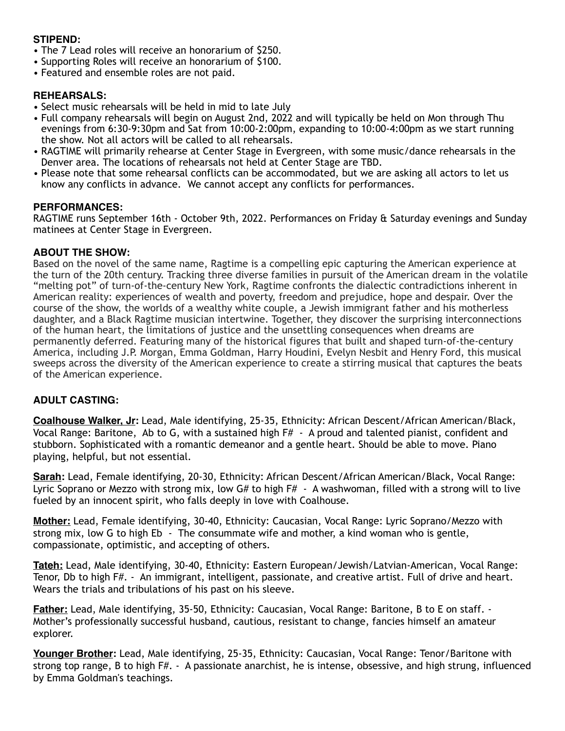### **STIPEND:**

- The 7 Lead roles will receive an honorarium of \$250.
- Supporting Roles will receive an honorarium of \$100.
- Featured and ensemble roles are not paid.

### **REHEARSALS:**

- Select music rehearsals will be held in mid to late July
- Full company rehearsals will begin on August 2nd, 2022 and will typically be held on Mon through Thu evenings from 6:30-9:30pm and Sat from 10:00-2:00pm, expanding to 10:00-4:00pm as we start running the show. Not all actors will be called to all rehearsals.
- RAGTIME will primarily rehearse at Center Stage in Evergreen, with some music/dance rehearsals in the Denver area. The locations of rehearsals not held at Center Stage are TBD.
- Please note that some rehearsal conflicts can be accommodated, but we are asking all actors to let us know any conflicts in advance. We cannot accept any conflicts for performances.

### **PERFORMANCES:**

RAGTIME runs September 16th - October 9th, 2022. Performances on Friday & Saturday evenings and Sunday matinees at Center Stage in Evergreen.

#### **ABOUT THE SHOW:**

Based on the novel of the same name, Ragtime is a compelling epic capturing the American experience at the turn of the 20th century. Tracking three diverse families in pursuit of the American dream in the volatile "melting pot" of turn-of-the-century New York, Ragtime confronts the dialectic contradictions inherent in American reality: experiences of wealth and poverty, freedom and prejudice, hope and despair. Over the course of the show, the worlds of a wealthy white couple, a Jewish immigrant father and his motherless daughter, and a Black Ragtime musician intertwine. Together, they discover the surprising interconnections of the human heart, the limitations of justice and the unsettling consequences when dreams are permanently deferred. Featuring many of the historical figures that built and shaped turn-of-the-century America, including J.P. Morgan, Emma Goldman, Harry Houdini, Evelyn Nesbit and Henry Ford, this musical sweeps across the diversity of the American experience to create a stirring musical that captures the beats of the American experience.

### **ADULT CASTING:**

**Coalhouse Walker, Jr:** Lead, Male identifying, 25-35, Ethnicity: African Descent/African American/Black, Vocal Range: Baritone, Ab to G, with a sustained high F# - A proud and talented pianist, confident and stubborn. Sophisticated with a romantic demeanor and a gentle heart. Should be able to move. Piano playing, helpful, but not essential.

**Sarah:** Lead, Female identifying, 20-30, Ethnicity: African Descent/African American/Black, Vocal Range: Lyric Soprano or Mezzo with strong mix, low G# to high F# - A washwoman, filled with a strong will to live fueled by an innocent spirit, who falls deeply in love with Coalhouse.

**Mother:** Lead, Female identifying, 30-40, Ethnicity: Caucasian, Vocal Range: Lyric Soprano/Mezzo with strong mix, low G to high Eb - The consummate wife and mother, a kind woman who is gentle, compassionate, optimistic, and accepting of others.

**Tateh:** Lead, Male identifying, 30-40, Ethnicity: Eastern European/Jewish/Latvian-American, Vocal Range: Tenor, Db to high F#. - An immigrant, intelligent, passionate, and creative artist. Full of drive and heart. Wears the trials and tribulations of his past on his sleeve.

**Father:** Lead, Male identifying, 35-50, Ethnicity: Caucasian, Vocal Range: Baritone, B to E on staff. - Mother's professionally successful husband, cautious, resistant to change, fancies himself an amateur explorer.

**Younger Brother:** Lead, Male identifying, 25-35, Ethnicity: Caucasian, Vocal Range: Tenor/Baritone with strong top range, B to high F#. - A passionate anarchist, he is intense, obsessive, and high strung, influenced by Emma Goldman's teachings.